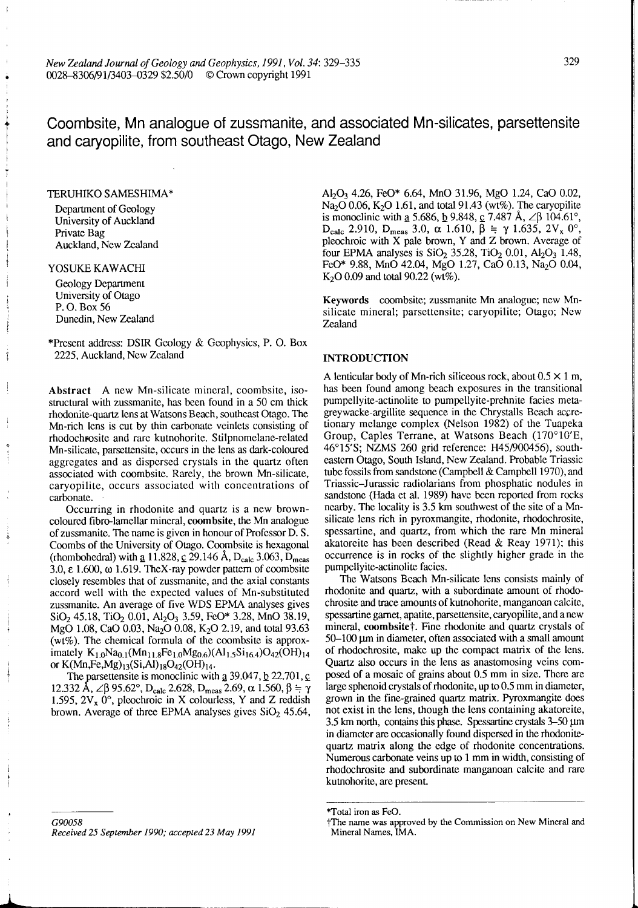329

Coombsite, Mn analogue of zussmanite, and associated Mn-silicates, parsettensite and caryopilite, from southeast Otago, New Zealand

# TERUHIKO SAMESHIMA\*

Department of Geology University of Auckland Private Bag Auckland, New Zealand

## YOSUKE KAWACHI

Geology Department University of Otago P. 0. Box 56 Dunedin, New Zealand

\*Present address: DSIR Geology & Geophysics, P. 0. Box 2225, Auckland, New Zealand

Abstract A new Mn-silicate mincral, coombsite, isostructural with zussmanite, has been found in a 50 cm thick rhodonite-quartz lcns at Watsons Beach, southeast Otago. The Mn-rich lens is cut by thin carbonate veinlets consisting of rhodochrosite and rare kutnohorite. Stilpnomelane-related Mn-silicate, parsettensite, occurs in the lens as dark-coloured aggrcgates and as dispersed crystals in the quartz often associated with coombsitc. Rarely, the brown Mn-silicate, caryopilite, occurs associated with concentrations of carbonate.

Occurring in rhodonite and quartz is a new browncoloured fibro-lamellar mineral, coombsite, the Mn analogue of zussmanite. The name is given in honour of Professor D. S. Coombs of the University of Otago. Coombsite is hexagonal (rhombohedral) with  $\underline{a}$  11.828,  $\underline{c}$  29.146 Å, D<sub>calc</sub> 3.063, D<sub>meas</sub> 3.0, **E** 1.600, **w** 1.619. TheX-ray powder pattern of coombsite closely resembles that of zussmanite, and the axial constants accord well with the expected values of Mn-substituted zussmanite. An average of five WDS EPMA analyses gives  $SiO<sub>2</sub>$  45.18, TiO<sub>2</sub> 0.01, Al<sub>2</sub>O<sub>3</sub> 3.59, FeO\* 3.28, MnO 38.19, MgO 1.08, CaO 0.03, Na<sub>2</sub>O 0.08, K<sub>2</sub>O 2.19, and total 93.63 (wt%). The chemical formula of the coombsite is approximately  $K_{1,0}Na_{0,1}(Mn_{11,8}Fe_{1,0}Mg_{0,6})(Al_{1,5}Si_{16,4})O_{42}(OH)_{14}$ or K(Mn, Fe, Mg)<sub>13</sub>(Si, Al)<sub>18</sub>O<sub>42</sub>(OH)<sub>14</sub>.

The parsettensite is monoclinic with  $a$  39.047,  $b$  22.701,  $c$ 12.332 Å, ∠β 95.62°, D<sub>calc</sub> 2.628, D<sub>meas</sub> 2.69,  $\alpha$  1.560,  $\beta = \gamma$ 1.595,  $2V_x$  0°, pleochroic in X colourless, Y and Z reddish brown. Average of three EPMA analyses gives  $SiO<sub>2</sub>$  45.64,

G90058 *Received* 25 *September* 1990; *accepted 23* May 1991 AI2@ 4.26, FeO\* 6.64, MnO 3 1.96, MgO 1.24, CaO 0.02,  $\text{Na}_2\text{O}$  0.06, K<sub>2</sub>O 1.61, and total 91.43 (wt%). The caryopilite is monoclinic with <u>a</u> 5.686, <u>b</u> 9.848, c 7.487 Å,  $\angle \beta$  104.61°,  $D_{\text{calc}}$  2.910,  $D_{\text{meas}}$  3.0,  $\alpha$  1.610,  $\bar{\beta}$  =  $\gamma$  1.635, 2V<sub>x</sub> 0°, pleochroic with X pale brown, Y and Z brown. Average of four EPMA analyses is  $SiO<sub>2</sub>$  35.28, TiO<sub>2</sub> 0.01, Al<sub>2</sub>O<sub>3</sub> 1.48, FeO\* 9.88, MnO 42.04, MgO 1.27, CaO 0.13, Na<sub>2</sub>O 0.04,  $K<sub>2</sub>O$  0.09 and total 90.22 (wt%).

Keywords coombsite; zussmanite Mn analogue; new Mnsilicate mineral; parsettensite; caryopilite; Otago; New Zealand

## INTRODUCTION

A lenticular body of Mn-rich siliceous rock, about 0.5 **X** 1 m, has been found among beach exposures in the transitional pumpellyite-actinolite to pumpellyite-prehnite facies metagreywacke-argillite sequence in the Chrystalls Beach accretionary melange complex (Nelson 1982) of the Tuapeka Group, Caples Terrane, at Watsons Beach (170°10'E, 46'15's; NZMS 260 grid reference: H45/900456), southcastern Otago, South Island, New Zealand. Probable Triassic tube fossils from sandstone (Campbell & Campbell 1970), and Triassic-Jurassic radiolarians from phosphatic nodules in sandstone **(Hada** et al. 1989) have been reported from rocks nearby. The locality is 3.5 km southwest of the site of a Mnsilicate lens rich in pyroxmangite, rhodonite, rhodochrosite, spessartine, and quartz, from which the rare Mn mineral akatoreite has been described (Read & Reay 1971); this occurrence is in rocks of the slightly higher grade in the pumpellyite-actinolite facies.

The Watsons Beach Mn-silicate lens consists mainly of rhodonite and quartz, with a subordinate amount of rhodochrosite and trace amounts of kumohorite, manganoan calcite, spessartine garnet, apatite, parsettensite, caryopilite, and a new mineral, coombsite†. Fine rhodonite and quartz crystals of 50-100 **pm** in diameter, often associated with a small amount of rhodochrosite, make up the compact matrix of the lens. Quartz also occurs in the lens as anastomosing veins composed of a mosaic of grains about 0.5 mm in size. There are large sphenoid crystals of rhodonite, up to 0.5 mm in diameter, grown in the fine-grained **quartz** matrix. Pyroxmangite does not exist in the lens, though the lens containing akatoreite, 3.5 km north, contains this phase. Spessartine crystals 3–50  $\mu$ m in diameter are occasionally found dispersed in the rhodonitequartz matrix along the edge of rhodonite concentrations. Numerous carbonate veins up to 1 mm in width, consisting of rhodochrosite and subordinate manganoan calcite and rare kutnohorite, are present.

<sup>\*</sup>Total iron **as** FeO.

<sup>?</sup>The name **was** approved by the Commission on New Mineral and Mineral Names, **MA.**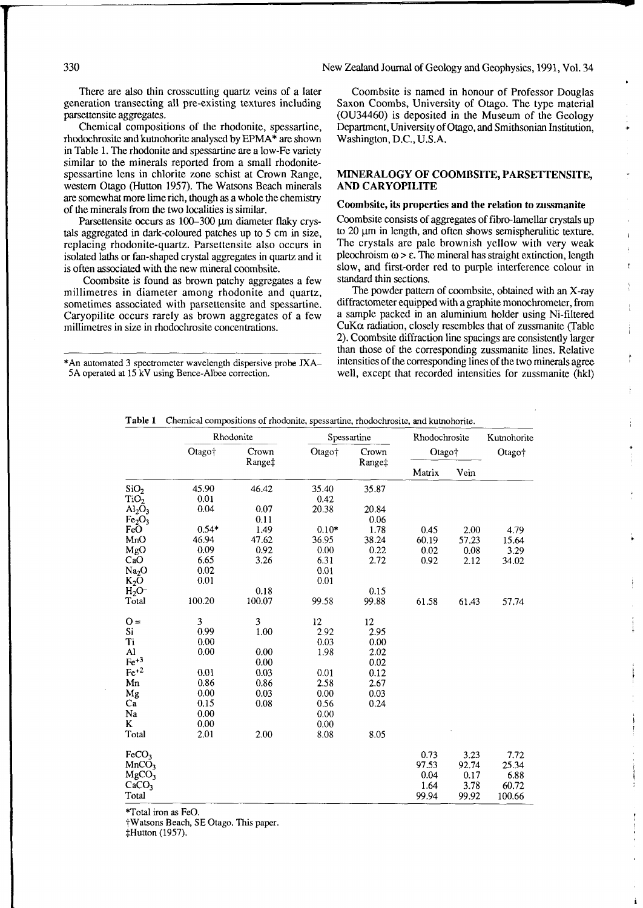330 New Zealand Journal of Geology and Geophysics, 1991, Vol. 34

generation transecting all pre-existing textures including Saxon Coombs, University of Otago. The type material parsettensite aggregates. (OU34460) is deposited in the Museum of the Geology

rhodochrosite and kutnohorite analysed by EPMA\* are shown in Table 1. The rhodonite and spessartine are a low-Fe variety similar to the minerals reported from a small rhodonitespessartine lens in chlorite zone schist at Crown Range, **MINERALOGY OF COOMBSITE, PARSETTENSITE,**  western Otago (Hutton 1957). The Watsons Beach minerds are somewhat more lime rich, though as a whole the chemistry of the minerals from the two localities is similar.

Parsettensite occurs as 100-300 µm diameter flaky crystals aggregated in dark-coloured patches up to 5 cm in size, replacing rhodonite-quartz. Parsettensite also occurs in isolated laths or fan-shaped crystal aggregates in quartz and it is often associated with the new mineral coombsite.

Coombsite is found as brown patchy aggregates a few millimetres in diameter among rhodonite and quartz, sometimes associated with parsettensite and spessartine. Caryopilite occurs rarely as brown aggregates of a few millimetres in size in rhodochrosite concentrations.

There are also thin crosscutting quartz veins of a later Coombsite is named in honour of Professor Douglas generation transecting all pre-existing textures including Saxon Coombs, University of Otago. The type material ettensite aggregates.<br>Chemical compositions of the rhodonite, spessartine, Department, University of Otago, and Smithsonian Institution. Department, University of Otago, and Smithsonian Institution, Washington, D.C., U.S.A. **L** 

ŧ

# **AND CARYOPILITE**

#### **Coombsite, its properties and the relation to zussmanite**

Coombsite consists of aggregates of fibro-lamellar crystals up to 20  $\mu$ m in length, and often shows semispherulitic texture. The crystals are pale brownish yellow with very weak pleochroism  $\omega > \epsilon$ . The mineral has straight extinction, length slow, and first-order red to purple interference colour in standard thin sections.

The powder pattern of coombsite, obtained with an X-ray diffractometer equipped with a graphite monochrometer, from a sample packed in an aluminium holder using Ni-filtered CuK $\alpha$  radiation, closely resembles that of zussmanite (Table CuK $\alpha$  radiation, closely resembles that of zussmanite (Table i 2). Coombsite diffraction line spacings are consistently larger than those of the corresponding zussmanite lines. Relative **\*An** automated 3 spectrometer wavelength dispersive probe **JXA-** intensities of the corresponding lines of the two minerals agree well, except that recorded intensities for zussmanite (hkl)

|  | Table 1 Chemical compositions of rhodonite, spessartine, rhodochrosite, and kutnohorite. |  |
|--|------------------------------------------------------------------------------------------|--|
|--|------------------------------------------------------------------------------------------|--|

|                                                                                  | Rhodonite |                 |         | Spessartine     | Rhodochrosite                 | Kutnohorite                   |                                |
|----------------------------------------------------------------------------------|-----------|-----------------|---------|-----------------|-------------------------------|-------------------------------|--------------------------------|
|                                                                                  | Otago†    | Crown<br>Range‡ | Otago†  | Crown<br>Range‡ | Otago <sup>+</sup>            |                               | Otago <sup>+</sup>             |
|                                                                                  |           |                 |         |                 | Matrix                        | Vein                          |                                |
| SiO <sub>2</sub>                                                                 | 45.90     | 46.42           | 35.40   | 35.87           |                               |                               |                                |
| TiO <sub>2</sub>                                                                 | 0.01      |                 | 0.42    |                 |                               |                               |                                |
| $\text{Al}_2\text{O}_3$                                                          | 0.04      | 0.07            | 20.38   | 20.84           |                               |                               |                                |
| Fe <sub>2</sub> O <sub>3</sub>                                                   |           | 0.11            |         | 0.06            |                               |                               |                                |
| FeO                                                                              | $0.54*$   | 1.49            | $0.10*$ | 1.78            | 0.45                          | 2.00                          | 4.79                           |
| MnO                                                                              | 46,94     | 47.62           | 36.95   | 38.24           | 60.19                         | 57.23                         | 15.64                          |
| MgO                                                                              | 0.09      | 0.92            | 0.00    | 0.22            | 0.02                          | 0.08                          | 3.29                           |
| CaO                                                                              | 6.65      | 3.26            | 6.31    | 2.72            | 0.92                          | 2.12                          | 34.02                          |
| Na <sub>2</sub> O                                                                | 0.02      |                 | 0.01    |                 |                               |                               |                                |
| $K_2O$                                                                           | 0.01      |                 | 0.01    |                 |                               |                               |                                |
| $H_2O^-$                                                                         |           | 0.18            |         | 0.15            |                               |                               |                                |
| Total                                                                            | 100.20    | 100.07          | 99.58   | 99.88           | 61.58                         | 61.43                         | 57.74                          |
| $Q =$                                                                            | 3         | 3               | 12      | 12              |                               |                               |                                |
| Si                                                                               | 0.99      | 1.00            | 2.92    | 2.95            |                               |                               |                                |
| Ti                                                                               | 0.00      |                 | 0.03    | 0.00            |                               |                               |                                |
| Al                                                                               | 0.00      | 0.00            | 1.98    | 2.02            |                               |                               |                                |
| $Fe+3$                                                                           |           | 0.00            |         | 0.02            |                               |                               |                                |
| $Fe^{+2}$                                                                        | 0.01      | 0.03            | 0.01    | 0.12            |                               |                               |                                |
| Mn                                                                               | 0.86      | 0.86            | 2.58    | 2.67            |                               |                               |                                |
| Mg                                                                               | 0.00      | 0.03            | 0.00    | 0.03            |                               |                               |                                |
| Ca                                                                               | 0.15      | 0.08            | 0.56    | 0.24            |                               |                               |                                |
| Na                                                                               | 0.00      |                 | 0.00    |                 |                               |                               |                                |
| K                                                                                | 0.00      |                 | 0.00    |                 |                               |                               |                                |
| Total                                                                            | 2.01      | 2.00            | 8.08    | 8.05            |                               |                               |                                |
| FeCO <sub>3</sub><br>MnCO <sub>3</sub><br>MgCO <sub>3</sub><br>CaCO <sub>3</sub> |           |                 |         |                 | 0.73<br>97.53<br>0.04<br>1.64 | 3.23<br>92.74<br>0.17<br>3.78 | 7.72<br>25.34<br>6.88<br>60.72 |
| Total                                                                            |           |                 |         |                 | 99.94                         | 99.92                         | 100.66                         |

\*Total iron as FeO.

tWatsons Beach, SE Otago. This paper.

\$Hutton (1957).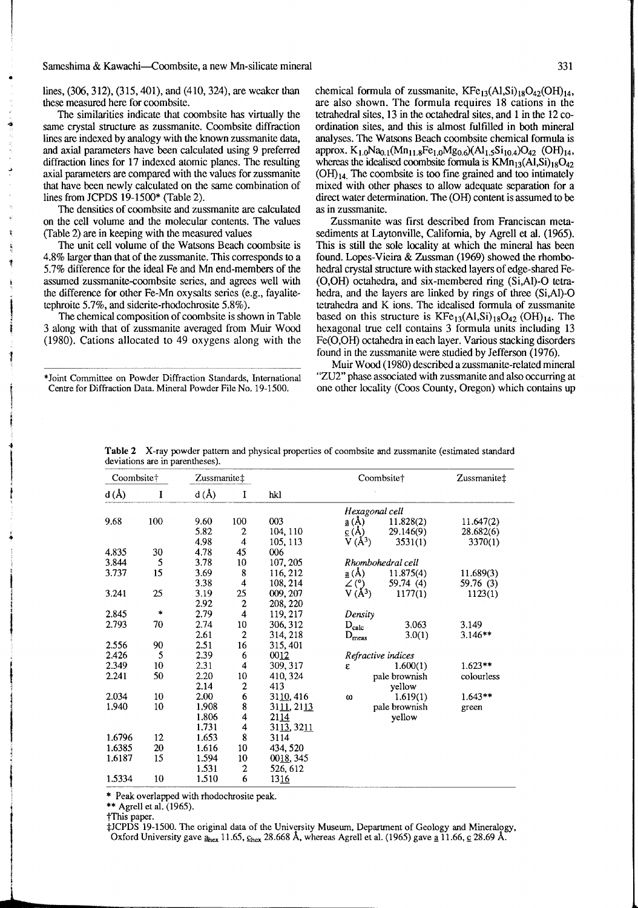#### Sameshima & Kawachi—Coombsite, a new Mn-silicate mineral 331

lines, (306,312), (315,401), and (410,324), are wcakcr than these measured here for coombsite.

The similarities indicate that coombsite has virtually the same crystal structure as zussmanite. Coombsite diffraction lines are indexed by analogy with the known zussmanite data, and axial parameters have been calculated using 9 preferred diffraction lines for 17 indexed atomic planes. The resulting axial parameters are compared with the values for zussmanite that have been newly calculated on the same combination of lines from JCPDS 19-1500\* (Table 2).

The densities of coombsite and zussmanite are calculated on the cell volume and the molecular contents. The values (Table 2) are in keeping with the measured values

The unit cell volume of the Watsons Beach coombsite is 4.8% larger than that of the zussmanite. This corresponds to a 5.7% difference for the ideal Fe and Mn end-members of the assumed zussmanite-coombsite series, and agrees well with the difference for other Fe-Mn oxysalts series (e.g., fayalitetephroite 5.7%, and sidcrite-rhodochrosite 5.8%).

The chemical composition of coombsite is shown in Table 3 along with that of zussmanite avenged from Muir Wood (1980). Cations allocated to 49 oxygens along with the

\*Joint Committee on Powder Diffraction Standards, International Centre for Difhaction Data. Mineral Powder File No. 19-1500.

chemical formula of zussmanite,  $KFe_{13}(A1,Si)_{18}O_{42}(OH)_{14}$ , are also shown. The formula requires 18 cations in the tetrahedral sites, 13 in the octahedral sites, and 1 in the 12 coordination sites, and this is almost fulfilled in both mineral analyses. The Watsons Beach coombsite chemical formula is approx.  $K_{1,0}Na_{0,1}(Mn_{11,8}Fe_{1,0}Mg_{0,6})(Al_{1,5}Si_{10,4})O_{42}$  (OH)<sub>14</sub>, whereas the idealised coombsite formula is  $KMn_{13}(AI, Si)_{18}O_{42}$  $(OH)_{14}$ . The coombsite is too fine grained and too intimately mixed with other phases to allow adequate separation for a direct water determination. The (OH) content is assumed to be as in zussmanite.

Zussmanite was first described from Franciscan metasediments at Laytonville, California, by Agrell et al. (1965). This is still the sole locality at which the mineral has been found. Lopes-Vieira & Zussman (1969) showed the rhombohedral crystal structure with stacked layers of edge-shared Fe-  $(O, OH)$  octahedra, and six-membered ring  $(Si, Al)$ -O tetrahedra, and the layers are linked by rings of three (Si,Al)-O tetrahedra and K ions. The idealised formula of zussmanite based on this structure is  $KFe_{13}(Al,Si)_{18}O_{42} (OH)_{14}$ . The hexagonal true cell contains 3 formula units including 13 Fe(0,OH) octahedra in each layer. Various stacking disorders found in the zussmanite were studied by Jefferson (1976).

Muir Wood (1980) described a zussmanite-related mineral "ZU2" phase associated with zussmanite and also occurring at one other locality (Coos County, Oregon) which contains up

| Coombsite <sup>+</sup> |               | Zussmanite‡ |                         |              |                               | Coombsite†        | Zussmanite‡ |
|------------------------|---------------|-------------|-------------------------|--------------|-------------------------------|-------------------|-------------|
| $d(\AA)$               | I             | d(A)        | I                       | hkl          |                               |                   |             |
|                        |               |             |                         |              | Hexagonal cell                |                   |             |
| 9.68                   | 100           | 9.60        | 100                     | 003          | $\underline{a}(\AA)$          | 11.828(2)         | 11.647(2)   |
|                        |               | 5.82        | 2                       | 104.110      | $\underline{c}(\overline{A})$ | 29.146(9)         | 28.682(6)   |
|                        |               | 4.98        | 4                       | 105, 113     | $V(A^3)$                      | 3531(1)           | 3370(1)     |
| 4.835                  | 30            | 4.78        | 45                      | 006          |                               |                   |             |
| 3.844                  | 5             | 3.78        | 10                      | 107, 205     |                               | Rhombohedral cell |             |
| 3.737                  | 15            | 3.69        | 8                       | 116, 212     | $\underline{a}(\AA)$          | 11.875(4)         | 11.689(3)   |
|                        |               | 3.38        | $\overline{\mathbf{4}}$ | 108, 214     | $\angle$ (°)                  | 59.74 (4)         | 59.76 (3)   |
| 3.241                  | 25            | 3.19        | 25                      | 009, 207     | $V(A^3)$                      | 1177(1)           | 1123(1)     |
|                        |               | 2.92        | $\boldsymbol{2}$        | 208, 220     |                               |                   |             |
| 2.845                  | $\frac{1}{2}$ | 2.79        | $\overline{\mathbf{4}}$ | 119, 217     | Density                       |                   |             |
| 2.793                  | 70            | 2.74        | 10                      | 306, 312     | $D_{calc}$                    | 3.063             | 3.149       |
|                        |               | 2.61        | $\boldsymbol{2}$        | 314, 218     | $D_{meas}$                    | 3.0(1)            | $3.146**$   |
| 2.556                  | 90            | 2.51        | 16                      | 315, 401     |                               |                   |             |
| 2.426                  | 5             | 2.39        | 6                       | 0012         | Refractive indices            |                   |             |
| 2.349                  | 10            | 2.31        | 4                       | 309, 317     | ε                             | 1.600(1)          | $1.623**$   |
| 2.241                  | 50            | 2.20        | 10                      | 410, 324     |                               | pale brownish     | colourless  |
|                        |               | 2.14        | $\boldsymbol{2}$        | 413          |                               | vellow            |             |
| 2.034                  | 10            | 2.00        | $\overline{6}$          | 3110, 416    | ω                             | 1.619(1)          | $1.643**$   |
| 1.940                  | 10            | 1.908       | 8                       | 3111, 2113   |                               | pale brownish     | green       |
|                        |               | 1.806       | 4                       | 2114         |                               | yellow            |             |
|                        |               | 1.731       | 4                       | 3113, 3211   |                               |                   |             |
| 1.6796                 | 12            | 1.653       | 8                       | 3114         |                               |                   |             |
| 1.6385                 | 20            | 1.616       | 10                      | 434, 520     |                               |                   |             |
| 1.6187                 | 15            | 1.594       | 10                      | 0018, 345    |                               |                   |             |
|                        |               | 1.531       | $\boldsymbol{2}$        | 526, 612     |                               |                   |             |
| 1.5334                 | 10            | 1.510       | 6                       | <u> 1316</u> |                               |                   |             |

**Table 2** X-ray powder pattern and physical properties of coombsite and zussmanite (estimated standard deviations are in parentheses).

\* Peak overlapped with rhodochrosite peak.

\*\* Agrell et al. (1965).

?This paper.

\*JCPDS 19-1500. The original data of the University Museum, Department of Geology and Mineralogy, Oxford University gave  $\frac{a}{2}$ , 11.65,  $C_{\text{hex}}$  28.668 Å, whereas Agrell et al. (1965) gave <u>a</u> 11.66, <u>c</u> 28.69 Å.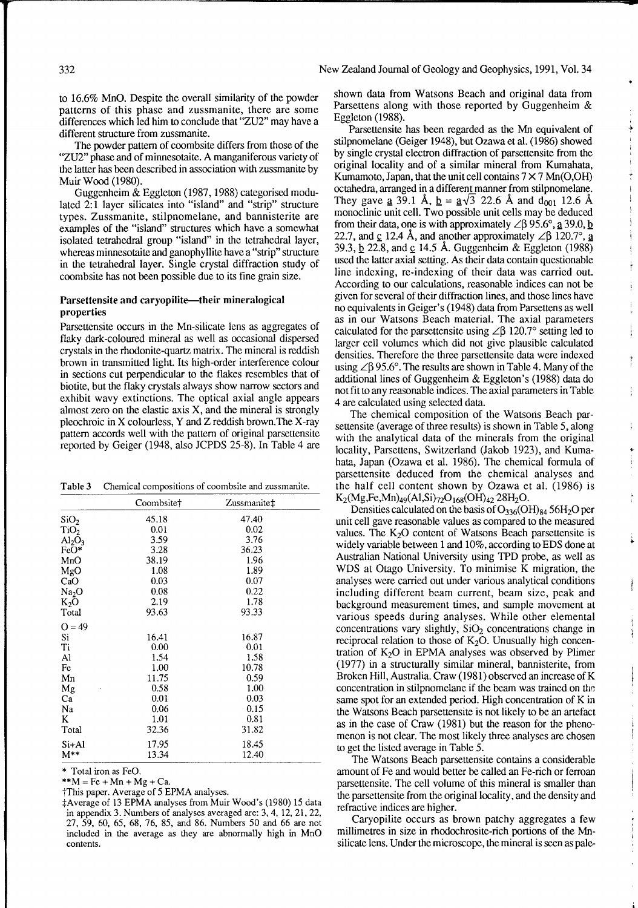to 16.6% MnO. Despite the overall similarity of the powder patterns of this phase and zussmanite, there are some differences which led him to conclude that "ZU2" may have a different structure from zussmanite.

The powder pattern of coombsite differs from those of the "ZU2" phase and of minnesotaite. A manganiferous variety of the latter has been described in association with zussmanite by Muir Wood (1980).

Guggenheim & Eggleton (1987,1988) categorised modulated 2:l layer silicates into "island" and "strip" structure types. Zussmanite, stilpnomelane, and bannisterite are examples of the "island" structures which have a somewhat isolated tetrahedral group "island" in the tetrahedral layer, whereas minnesotaite and ganophyllite have a "strip" structure in the tetrahedral layer. Single crystal diffraction study of coombsite has not been possible due to its fine grain size.

## Parsettensite and caryopilite-their mineralogical properties

Parsettensite occurs in the Mn-silicate lens as aggregates of flaky dark-coloured mineral as well as occasional dispersed crystals in the rhodonite-quartz matrix. The mineral is reddish brown in transmitted light. Its high-order interference colour in sections cut perpendicular to the flakes resembles that of biotite, but the flaky crystals always show narrow sectors and exhibit wavy extinctions. The optical axial angle appears almost zero on the elastic axis X, and the mineral is strongly pleochroic in X colourless, Y and Z reddish brown.The X-ray pattern accords well with the pattern of original parsettensite reported by Geiger (1948, also JCPDS 25-8). In Table 4 are

| Table 3 | Chemical compositions of coombsite and zussmanite. |  |
|---------|----------------------------------------------------|--|
|---------|----------------------------------------------------|--|

|                         | Coombsite† | Zussmanite‡ |  |
|-------------------------|------------|-------------|--|
| SiO <sub>2</sub>        | 45.18      | 47.40       |  |
| TiO <sub>2</sub>        | 0.01       | 0.02        |  |
| $\text{Al}_2\text{O}_3$ | 3.59       | 3.76        |  |
| $FeO*$                  | 3.28       | 36.23       |  |
| MnO                     | 38.19      | 1.96        |  |
| MgO                     | 1.08       | 1.89        |  |
| CaO                     | 0.03       | 0.07        |  |
| Na <sub>2</sub> O       | 0.08       | 0.22        |  |
| $K_2O$                  | 2.19       | 1.78        |  |
| Total                   | 93.63      | 93.33       |  |
| $Q = 49$                |            |             |  |
| S <sub>i</sub>          | 16.41      | 16.87       |  |
| Ti                      | 0.00       | 0.01        |  |
| Al                      | 1.54       | 1.58        |  |
| Fe                      | 1.00       | 10.78       |  |
| Мn                      | 11.75      | 0.59        |  |
| Mg                      | 0.58       | 1.00        |  |
| Ca                      | 0.01       | 0.03        |  |
| Na                      | 0.06       | 0.15        |  |
| K                       | 1.01       | 0.81        |  |
| Total                   | 32.36      | 31.82       |  |
| Si+Al                   | 17.95      | 18.45       |  |
| $M^{**}$                | 13.34      | 12.40       |  |

\* Total iron as FeO.

 $*M = Fe + Mn + Mg + Ca.$ 

?This paper. Average of 5 EPMA analyses.

\$Average of 13 EPMA analyses from Muir Wood's (1980) 15 data in appendix 3. Numbers of analyses averaged are: 3,4, 12, 21.22, 27, 59, 60, 65, 68, 76, 85, and 86. Numbers 50 and 66 are not included in the average as they are abnormally high in MnO contents.

shown data from Watsons Beach and original data from Parsettens along with those reported by Guggenheim & Eggleton (1988).

خ

Parsettensite has been regarded as the Mn equivalent of stilpnomelane (Geiger 1948), but Ozawa et al. (1986) showed by single crystal electron diffraction of parsettensite from the original locality and of a similar mineral from Kumahata, Kumamoto, Japan, that the unit cell contains  $7 \times 7$  Mn(O,OH) octahedra, arranged in a different manner from stilpnomelane. They gave **a** 39.1 Å,  $\underline{b} = \underline{a}\sqrt{3}$  22.6 Å and  $d_{001}$  12.6 Å monoclinic unit cell. Two possible unit cells may be deduced from their data, one is with approximately  $\angle \beta$  95.6°, <u>a</u> 39.0, <u>b</u> 22.7, and c 12.4 Å, and another approximately  $\angle$  $\beta$  120.7°, a 39.3, 22.8, and **E** 14.5 A. Guggenheim & Eggleton (1988) used the latter axial setting. **As** their data contain questionable line indexing, re-indexing of their data was carried out. According to our calculations, reasonable indices can not be given for several of their diffraction lines, and those lines have no equivalents in Geiger's (1948) data from Parsettens as well as in our Watsons Beach material. The axial parameters calculated for the parsettensite using  $\angle \beta$  120.7° setting led to larger cell volumes which did not give plausible calculated densities. Therefore the three parsettensite data were indexed using  $\angle \beta$  95.6°. The results are shown in Table 4. Many of the additional lines of Guggenheim & Eggleton's (1988) data do not fit to any reasonable indices. The axial parameters in Table 4 are calculated using selected data.

The chemical composition of the Watsons Beach parsettensite (average of three results) is shown in Table 5, along with the analytical data of the minerals from the original locality, Parsettens, Switzerland (Jakob 1923), and Kumahata, Japan (Ozawa et al. 1986). The chemical formula of parsettensite deduced from the chemical analyses and the half cell content shown by Ozawa et al. (1986) is K<sub>2</sub>(Mg,Fe,Mn)<sub>49</sub>(Al,Si)<sub>72</sub>O<sub>168</sub>(OH)<sub>42</sub> 28H<sub>2</sub>O.

Densities calculated on the basis of  $O_{336}$ (OH) $_{84}$  56H<sub>2</sub>O per unit cell gave reasonable values as compared to the measured values. The  $K<sub>2</sub>O$  content of Watsons Beach parsettensite is widely variable between 1 and 10%, according to EDS done at Australian National University using TPD probe, as well as WDS at Otago University. To minimise K migration, the analyses were carried out under various analytical conditions including different beam current, beam size, peak and background measurement times, and sample movement at various speeds during analyses. While other elemental concentrations vary slightly,  $SiO<sub>2</sub>$  concentrations change in reciprocal relation to those of  $K<sub>2</sub>O$ . Unusually high concentration of  $K<sub>2</sub>O$  in EPMA analyses was observed by Plimer (1977) in a structurally similar mineral, bannisterite, from Broken Hill, Australia. Craw (1981) observed an increase of K concentration in stilpnomelane if the beam was trained on the same spot for an extended period. High concentration of K in the Watsons Beach parsettensite is not likely to be an artefact as in the case of Craw (1981) but the reason for the phenomenon is not clear. The most likely three analyses are chosen to get the listed average in Table 5.

The Watsons Beach parsettensite contains a considerable amount of Fe and would better be called an Fe-rich or ferroan parsettensite. The cell volume of this mineral is smaller than the parsettensite from the original locality, and the density and refractive indices are higher.

Caryopilite occurs as brown patchy aggregates a few millimetres in size in rhodochrosite-rich portions of the Mnsilicate lens. Under the microscope, the mineral is seen as pale-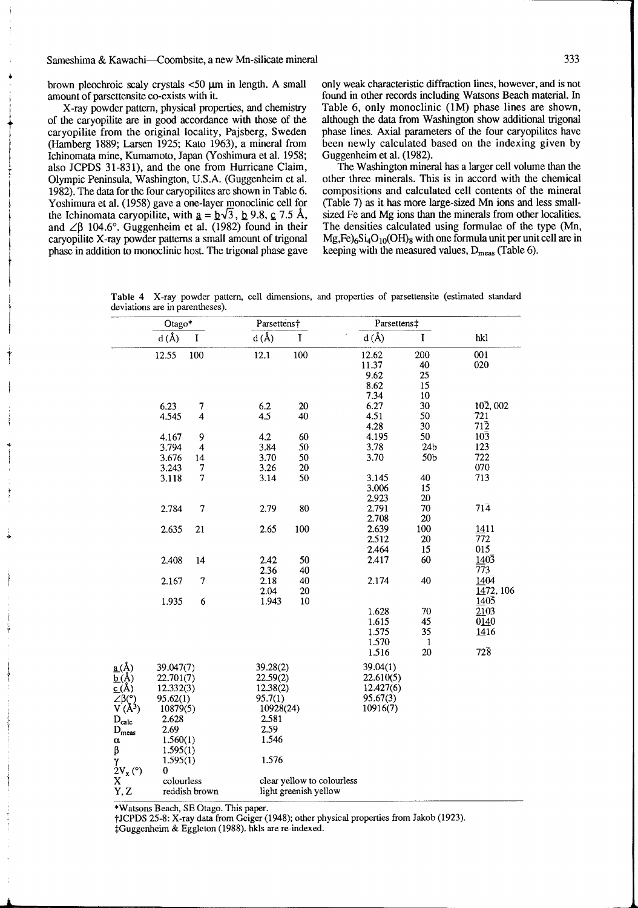-

brown pleochroic scaly crystals 40 **pm** in length. **A** small amount of parsettensite CO-exists with it.

X-ray powder pattern, physical properties, and chemistry of the caryopilite are in good accordance with those of the caryopilite from the original locality, Pajsberg, Sweden (Hamberg 1889; Larsen 1925; Kato 1963), a mineral from Ichinomata mine, Kumamoto, Japan (Yoshimura et al. 1958; also JCPDS 31-831), and the one from Hurricane Claim, Olympic Peninsula, Washington, U.S.A. (Guggenheim et al. 1982). The data for the four caryopilites are shown in Table 6. Yoshimura et al. (1958) gave a one-layer monoclinic cell for the Ichinomata caryopilite, with  $\underline{a} = \underline{b}\sqrt{3}$ ,  $\underline{b}$  9.8,  $\underline{c}$  7.5 Å, and  $\angle$ B 104.6°. Guggenheim et al. (1982) found in their caryopilite X-ray powder patterns a small amount of trigonal phase in addition to monoclinic host. The trigonal phase gave only **weak** characteristic diffraction lines, however, and is not found in other records including Watsons Beach material. In Table 6, only monoclinic (1M) phase lines are shown, although the data from Washington show additional trigonal phase lines. Axial parameters of the four caryopilites have been newly calculated based on the indexing given by Guggenheim et al. (1982).

The Washington mineral has a larger cell volume than the other three minerals. This is in accord with the chemical compositions and calculated cell contents of the mineral (Table 7) as it has more large-sized Mn ions and less smallsized Fe and Mg ions **than** the minerals from other localities. The densities calculated using formulae of the type (Mn,  $Mg$ ,Fe)<sub>6</sub>Si<sub>4</sub>O<sub>10</sub>(OH)<sub>8</sub> with one formula unit per unit cell are in keeping with the measured values,  $D_{meas}$  (Table 6).

**Table 4** X-ray powder pattern, cell dimensions, and properties of parsettensite (estimated standard deviations are in parentheses).

|                                 | Otago*     |                          | Parsettens† |                            | Parsettens‡ |                       |                         |
|---------------------------------|------------|--------------------------|-------------|----------------------------|-------------|-----------------------|-------------------------|
|                                 | d(A)       | I                        | d(A)        | $\mathbf I$                | d(A)        | $\mathbf I$           | hkl                     |
|                                 | 12.55      | 100                      | 12.1        | 100                        | 12.62       | 200                   | 001                     |
|                                 |            |                          |             |                            | 11.37       | 40                    | 020                     |
|                                 |            |                          |             |                            | 9.62        | 25                    |                         |
|                                 |            |                          |             |                            | 8.62        | 15                    |                         |
|                                 |            |                          |             |                            | 7.34        | 10                    |                         |
|                                 | 6.23       | 7                        | 6.2         | 20                         | 6.27        | 30                    | 102,002                 |
|                                 | 4.545      | $\overline{4}$           | 4.5         | 40                         | 4.51        | 50                    | 721                     |
|                                 |            |                          |             |                            | 4.28        | 30                    | $71\overline{2}$        |
|                                 | 4.167      | 9                        | 4.2         | 60                         | 4.195       | 50<br>24 <sub>b</sub> | $10\overline{3}$<br>123 |
|                                 | 3.794      | $\overline{\mathbf{4}}$  | 3.84        | 50                         | 3.78        |                       |                         |
|                                 | 3.676      | 14                       | 3.70        | 50<br>20                   | 3.70        | 50 <sub>b</sub>       | 722<br>070              |
|                                 | 3.243      | 7                        | 3.26        | 50                         | 3.145       | 40                    | 713                     |
|                                 | 3.118      | 7                        | 3.14        |                            | 3.006       | 15                    |                         |
|                                 |            |                          |             |                            | 2.923       | 20                    |                         |
|                                 | 2.784      | $\overline{\mathcal{L}}$ | 2.79        | 80                         | 2.791       | 70                    | $71\bar{4}$             |
|                                 |            |                          |             |                            | 2.708       | 20                    |                         |
|                                 | 2.635      | 21                       | 2.65        | 100                        | 2.639       | 100                   | 1411                    |
|                                 |            |                          |             |                            | 2.512       | 20                    | 772                     |
|                                 |            |                          |             |                            | 2.464       | 15                    | 015                     |
|                                 | 2.408      | 14                       | 2.42        | 50                         | 2.417       | 60                    | $140\overline{3}$       |
|                                 |            |                          | 2.36        | 40                         |             |                       | $\overline{77}3$        |
|                                 | 2.167      | 7                        | 2.18        | 40                         | 2.174       | 40                    | 1404                    |
|                                 |            |                          | 2.04        | 20                         |             |                       | 1472, 106               |
|                                 | 1.935      | 6                        | 1.943       | 10                         |             |                       | $140\bar{5}$            |
|                                 |            |                          |             |                            | 1.628       | 70                    | 2103                    |
|                                 |            |                          |             |                            | 1.615       | 45                    | 0140                    |
|                                 |            |                          |             |                            | 1.575       | 35                    | 1416                    |
|                                 |            |                          |             |                            | 1.570       | $\mathbf{1}$          |                         |
|                                 |            |                          |             |                            | 1.516       | 20                    | $72\overline{8}$        |
| $\underline{a}(\mathring{A})$   | 39.047(7)  |                          | 39.28(2)    |                            | 39.04(1)    |                       |                         |
| $\underline{b}(\check{A})$      | 22.701(7)  |                          | 22.59(2)    |                            | 22.610(5)   |                       |                         |
| $\underline{c(A)}$              | 12.332(3)  |                          | 12.38(2)    |                            | 12.427(6)   |                       |                         |
| $\angle \beta$ (°)              | 95.62(1)   |                          | 95.7(1)     |                            | 95.67(3)    |                       |                         |
| $V(A^3)$                        | 10879(5)   |                          | 10928(24)   |                            | 10916(7)    |                       |                         |
| $\mathbf{D}_{\text{calc}}$      | 2.628      |                          | 2.581       |                            |             |                       |                         |
| $\mathbf{D}_{\text{meas}}$      | 2.69       |                          | 2.59        |                            |             |                       |                         |
| α                               | 1.560(1)   |                          | 1.546       |                            |             |                       |                         |
| β                               | 1.595(1)   |                          |             |                            |             |                       |                         |
| $\gamma$ <sub>2</sub> $V_x$ (°) | 1.595(1)   |                          | 1.576       |                            |             |                       |                         |
|                                 | 0          |                          |             |                            |             |                       |                         |
| X                               | colourless |                          |             | clear yellow to colourless |             |                       |                         |
| Y, Z                            |            | reddish brown            |             | light greenish yellow      |             |                       |                         |

\*Watsons Beach, SE Otago. This paper.

tJCPDS 25-8: X-ray data from Geiger (1948); other physical properties from Jakob (1923).

\*Guggenheim & Eggleton (1988). hkls are re-indexed.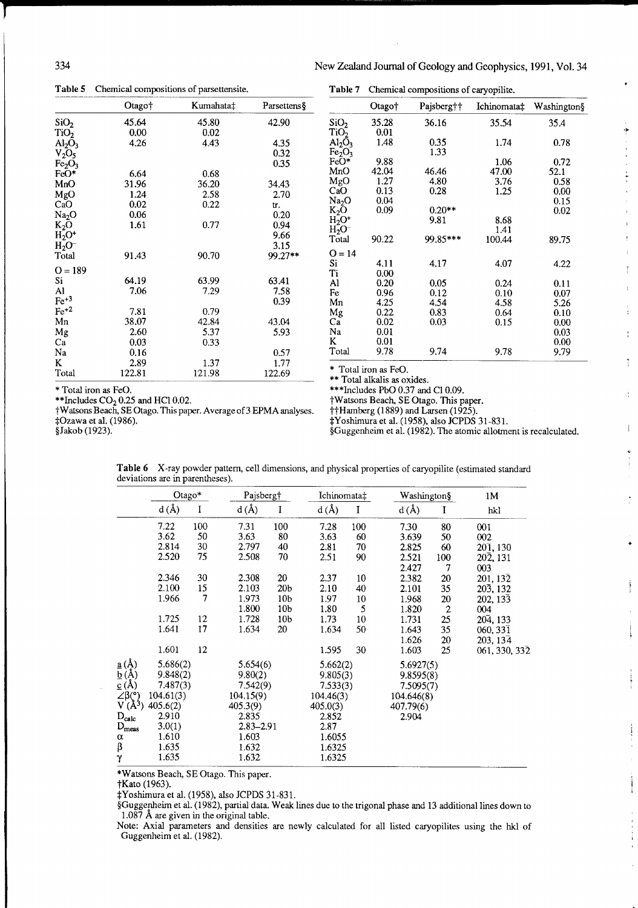**Table 5** Chemical compositions of parsettensite.

|                                | Otago† | Kumahata‡ | Parsettens |
|--------------------------------|--------|-----------|------------|
| SiO <sub>2</sub>               | 45.64  | 45.80     | 42.90      |
| TiO <sub>2</sub>               | 0.00   | 0.02      |            |
| $\text{Al}_2\text{O}_3$        | 4.26   | 4.43      | 4.35       |
| $V_2O_5$                       |        |           | 0.32       |
| Fe <sub>2</sub> O <sub>3</sub> |        |           | 0.35       |
| FeO*                           | 6.64   | 0.68      |            |
| MnO                            | 31.96  | 36.20     | 34.43      |
| MgO                            | 1.24   | 2.58      | 2.70       |
| $_{\rm CaO}$                   | 0.02   | 0.22      | Ь.         |
| Na <sub>2</sub> O              | 0.06   |           | 0.20       |
| $K_2O$                         | 1.61   | 0.77      | 0.94       |
| $H_2O^+$                       |        |           | 9.66       |
| $_{\rm H_2O^-}$                |        |           | 3.15       |
| Total                          | 91.43  | 90.70     | 99.27**    |
| $O = 189$                      |        |           |            |
| Si                             | 64.19  | 63.99     | 63.41      |
| Al                             | 7.06   | 7.29      | 7.58       |
| $Fe^{+3}$                      |        |           | 0.39       |
| $\rm Fe^{+2}$                  | 7.81   | 0.79      |            |
| Mn                             | 38.07  | 42.84     | 43.04      |
| Mg                             | 2.60   | 5.37      | 5.93       |
| Ca                             | 0.03   | 0.33      |            |
| Na                             | 0.16   |           | 0.57       |
| K.                             | 2.89   | 1.37      | 1.77       |
| Total                          | 122.81 | 121.98    | 122.69     |

à.

÷  $\frac{1}{\sqrt{2}}$ 

 $\ddot{\ddot{\cdot}}$ 

ţ

ţ.

 $\mathbf{j}$ 

| Table 7                        | Chemical compositions of caryopilite. |            |             |             |  |  |  |
|--------------------------------|---------------------------------------|------------|-------------|-------------|--|--|--|
|                                | Otago†                                | Pajsberg†† | Ichinomata‡ | Washington§ |  |  |  |
| SiO <sub>2</sub>               | 35.28                                 | 36.16      | 35.54       | 35.4        |  |  |  |
| TiO <sub>2</sub>               | 0.01                                  |            |             |             |  |  |  |
| $\rm Al_2\bar O_3$             | 1.48                                  | 0.35       | 1.74        | 0.78        |  |  |  |
| Fe <sub>2</sub> O <sub>3</sub> |                                       | 1.33       |             |             |  |  |  |
| $FeO*$                         | 9.88                                  |            | 1.06        | 0.72        |  |  |  |
| MnO                            | 42.04                                 | 46.46      | 47.00       | 52.1        |  |  |  |
| MgO                            | 1.27                                  | 4.80       | 3.76        | 0.58        |  |  |  |
| CaO                            | 0.13                                  | 0.28       | 1.25        | 0.00        |  |  |  |
| Na <sub>2</sub> O              | 0.04                                  |            |             | 0.15        |  |  |  |
| $K_2\bar{O}$                   | 0.09                                  | $0.20**$   |             | 0.02        |  |  |  |
| $H_2^-O^+$                     |                                       | 9.81       | 8.68        |             |  |  |  |
| $H_2O^-$                       |                                       |            | 1.41        |             |  |  |  |
| Total                          | 90.22                                 | 99.85***   | 100.44      | 89.75       |  |  |  |
| $Q = 14$                       |                                       |            |             |             |  |  |  |
| Si                             | 4.11                                  | 4.17       | 4.07        | 4.22        |  |  |  |
| Ti                             | 0.00                                  |            |             |             |  |  |  |
| Al                             | 0.20                                  | 0.05       | 0.24        | 0.11        |  |  |  |
| Fe                             | 0.96                                  | 0.12       | 0.10        | 0.07        |  |  |  |
| Mn                             | 4.25                                  | 4.54       | 4.58        | 5.26        |  |  |  |
| Mg                             | 0.22                                  | 0.83       | 0.64        | 0.10        |  |  |  |
| Ca                             | 0.02                                  | 0.03       | 0.15        | 0.00        |  |  |  |
| Na                             | 0.01                                  |            |             | 0.03        |  |  |  |
| K                              | 0.01                                  |            |             | 0.00        |  |  |  |
| Total                          | 9.78                                  | 9.74       | 9.78        | 9.79        |  |  |  |

\* Total iron as FeO.

\*\* Total alkalis as oxides.

\* Total iron as FeO.<br>
\*\*\*Includes CO<sub>2</sub> 0.25 and HCl 0.02.<br>
+Watsons Beach, SE Otago. This proposed.

\*Watsons Beach, SE Otago. This paper.<br>\*\*Hamberg (1889) and Larsen (1925).

twatsons Beach, SE Otago. This paper. Average of 3 EPMA analyses.<br>#Ozawa et al. (1986).

\$Ozawa et al. (1986). tYoshirnura et al. (1958). also JCPDS 31-831. \$Guggenheim et al. (1982). The atomic allotment is recalculated.

|                                  | Otago*    |     | Pajsberg†     |                 | Ichinomata‡ |        | Washington§ |                  | 1M                     |
|----------------------------------|-----------|-----|---------------|-----------------|-------------|--------|-------------|------------------|------------------------|
|                                  | d(A)      | I   | $d(\AA)$      | I               | $d(\AA)$    | I      | $d(\AA)$    | I                | hkl                    |
|                                  | 7.22      | 100 | 7.31          | 100             | 7.28        | 100    | 7.30        | 80               | 001                    |
|                                  | 3.62      | 50  | 3.63          | 80              | 3.63        | 60     | 3.639       | 50               | 002                    |
|                                  | 2.814     | 30  | 2.797         | 40              | 2.81        | 70     | 2.825       | 60               | 201, 130               |
|                                  | 2.520     | 75  | 2.508         | 70              | 2.51        | 90     | 2.521       | 100              | 202, 131               |
|                                  |           |     |               |                 |             |        | 2.427       | 7                | 003                    |
|                                  | 2.346     | 30  | 2.308         | 20              | 2.37        | $10\,$ | 2.382       | 20               | 201, 132               |
|                                  | 2.100     | 15  | 2.103         | 20 <sub>b</sub> | 2.10        | 40     | 2.101       | 35               | $20\overline{3}$ , 132 |
|                                  | 1.966     | 7   | 1.973         | 10b             | 1.97        | 10     | 1.968       | 20               | 202, 133               |
|                                  |           |     | 1.800         | 10 <sub>b</sub> | 1.80        | 5      | 1.820       | $\boldsymbol{2}$ | 004                    |
|                                  | 1.725     | 12  | 1.728         | 10 <sub>b</sub> | 1.73        | 10     | 1.731       | 25               | 204, 133               |
|                                  | 1.641     | 17  | 1.634         | 20              | 1.634       | 50     | 1.643       | 35               | 060, 331               |
|                                  |           |     |               |                 |             |        | 1.626       | 20               | 203, 134               |
|                                  | 1.601     | 12  |               |                 | 1.595       | 30     | 1.603       | 25               | 061, 330, 332          |
| $\underline{a}(\stackrel{1}{A})$ | 5.686(2)  |     | 5.654(6)      |                 | 5.662(2)    |        | 5.6927(5)   |                  |                        |
| $\underline{b}(A)$               | 9.848(2)  |     | 9.80(2)       |                 | 9.805(3)    |        | 9.8595(8)   |                  |                        |
| $\mathfrak{C}(\mathsf{A})$       | 7.487(3)  |     | 7.542(9)      |                 | 7.533(3)    |        | 7.5095(7)   |                  |                        |
| $\angle \beta$ (°)               | 104.61(3) |     | 104.15(9)     |                 | 104.46(3)   |        | 104.646(8)  |                  |                        |
| $V(\lambda^3)$                   | 405.6(2)  |     | 405.3(9)      |                 | 405.0(3)    |        | 407.79(6)   |                  |                        |
| $\mathbf{D}_{\text{calc}}$       | 2.910     |     | 2.835         |                 | 2.852       |        | 2.904       |                  |                        |
| $D_{meas}$                       | 3.0(1)    |     | $2.83 - 2.91$ |                 | 2.87        |        |             |                  |                        |
| α                                | 1.610     |     | 1.603         |                 | 1.6055      |        |             |                  |                        |
| β                                | 1.635     |     | 1.632         |                 | 1.6325      |        |             |                  |                        |
| $\gamma$                         | 1.635     |     | 1.632         |                 | 1.6325      |        |             |                  |                        |

**Table 6** X-ray powder pattern, cell dimensions, and physical properties of caryopilite (estimated standard deviations are in parentheses).

\*Watsons Beach, SE Otago. This paper.

tKato (1963).

SYoshirnura et al. (1958), also JCPDS 31-831.

\$Guggenheim et al. (1982), partial data. Weak lines due to the trigonal phase and 13 additional lines down to 1.087 A are given in the original table.

Note: Axial parameters and densities are newly calculated for all listed caryopilites using the hkl of Guggenheim et al. (1982).